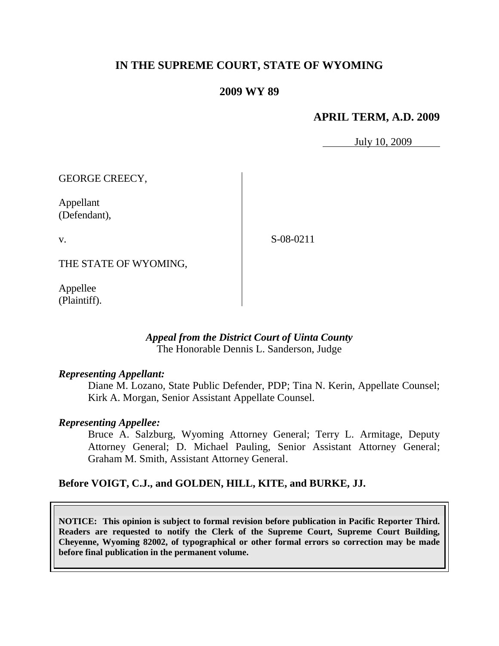# **IN THE SUPREME COURT, STATE OF WYOMING**

# **2009 WY 89**

# **APRIL TERM, A.D. 2009**

July 10, 2009

GEORGE CREECY,

Appellant (Defendant),

v.

S-08-0211

THE STATE OF WYOMING,

Appellee (Plaintiff).

## *Appeal from the District Court of Uinta County* The Honorable Dennis L. Sanderson, Judge

## *Representing Appellant:*

Diane M. Lozano, State Public Defender, PDP; Tina N. Kerin, Appellate Counsel; Kirk A. Morgan, Senior Assistant Appellate Counsel.

## *Representing Appellee:*

Bruce A. Salzburg, Wyoming Attorney General; Terry L. Armitage, Deputy Attorney General; D. Michael Pauling, Senior Assistant Attorney General; Graham M. Smith, Assistant Attorney General.

# **Before VOIGT, C.J., and GOLDEN, HILL, KITE, and BURKE, JJ.**

**NOTICE: This opinion is subject to formal revision before publication in Pacific Reporter Third. Readers are requested to notify the Clerk of the Supreme Court, Supreme Court Building, Cheyenne, Wyoming 82002, of typographical or other formal errors so correction may be made before final publication in the permanent volume.**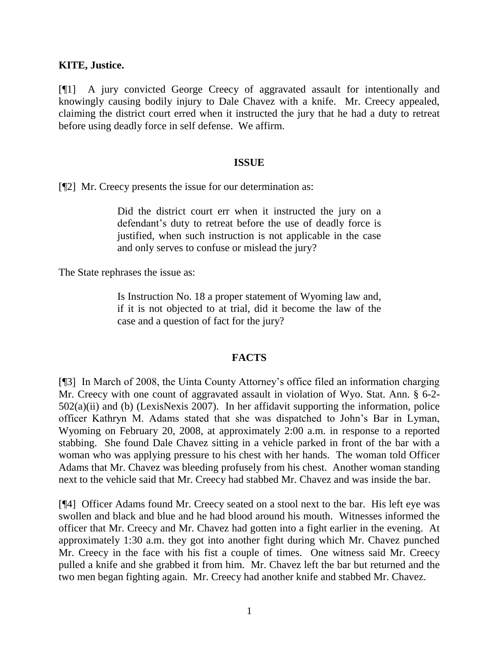## **KITE, Justice.**

[¶1] A jury convicted George Creecy of aggravated assault for intentionally and knowingly causing bodily injury to Dale Chavez with a knife. Mr. Creecy appealed, claiming the district court erred when it instructed the jury that he had a duty to retreat before using deadly force in self defense. We affirm.

## **ISSUE**

[¶2] Mr. Creecy presents the issue for our determination as:

Did the district court err when it instructed the jury on a defendant's duty to retreat before the use of deadly force is justified, when such instruction is not applicable in the case and only serves to confuse or mislead the jury?

The State rephrases the issue as:

Is Instruction No. 18 a proper statement of Wyoming law and, if it is not objected to at trial, did it become the law of the case and a question of fact for the jury?

## **FACTS**

[¶3] In March of 2008, the Uinta County Attorney's office filed an information charging Mr. Creecy with one count of aggravated assault in violation of Wyo. Stat. Ann. § 6-2- 502(a)(ii) and (b) (LexisNexis 2007). In her affidavit supporting the information, police officer Kathryn M. Adams stated that she was dispatched to John's Bar in Lyman, Wyoming on February 20, 2008, at approximately 2:00 a.m. in response to a reported stabbing. She found Dale Chavez sitting in a vehicle parked in front of the bar with a woman who was applying pressure to his chest with her hands. The woman told Officer Adams that Mr. Chavez was bleeding profusely from his chest. Another woman standing next to the vehicle said that Mr. Creecy had stabbed Mr. Chavez and was inside the bar.

[¶4] Officer Adams found Mr. Creecy seated on a stool next to the bar. His left eye was swollen and black and blue and he had blood around his mouth. Witnesses informed the officer that Mr. Creecy and Mr. Chavez had gotten into a fight earlier in the evening. At approximately 1:30 a.m. they got into another fight during which Mr. Chavez punched Mr. Creecy in the face with his fist a couple of times. One witness said Mr. Creecy pulled a knife and she grabbed it from him. Mr. Chavez left the bar but returned and the two men began fighting again. Mr. Creecy had another knife and stabbed Mr. Chavez.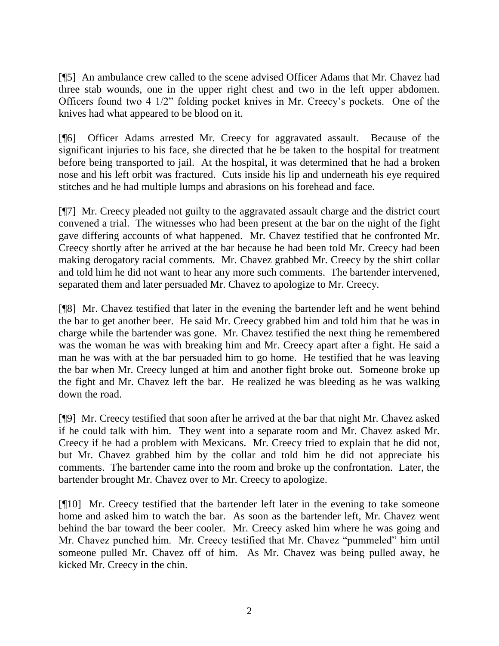[¶5] An ambulance crew called to the scene advised Officer Adams that Mr. Chavez had three stab wounds, one in the upper right chest and two in the left upper abdomen. Officers found two 4 1/2" folding pocket knives in Mr. Creecy's pockets. One of the knives had what appeared to be blood on it.

[¶6] Officer Adams arrested Mr. Creecy for aggravated assault. Because of the significant injuries to his face, she directed that he be taken to the hospital for treatment before being transported to jail. At the hospital, it was determined that he had a broken nose and his left orbit was fractured. Cuts inside his lip and underneath his eye required stitches and he had multiple lumps and abrasions on his forehead and face.

[¶7] Mr. Creecy pleaded not guilty to the aggravated assault charge and the district court convened a trial. The witnesses who had been present at the bar on the night of the fight gave differing accounts of what happened. Mr. Chavez testified that he confronted Mr. Creecy shortly after he arrived at the bar because he had been told Mr. Creecy had been making derogatory racial comments. Mr. Chavez grabbed Mr. Creecy by the shirt collar and told him he did not want to hear any more such comments. The bartender intervened, separated them and later persuaded Mr. Chavez to apologize to Mr. Creecy.

[¶8] Mr. Chavez testified that later in the evening the bartender left and he went behind the bar to get another beer. He said Mr. Creecy grabbed him and told him that he was in charge while the bartender was gone. Mr. Chavez testified the next thing he remembered was the woman he was with breaking him and Mr. Creecy apart after a fight. He said a man he was with at the bar persuaded him to go home. He testified that he was leaving the bar when Mr. Creecy lunged at him and another fight broke out. Someone broke up the fight and Mr. Chavez left the bar. He realized he was bleeding as he was walking down the road.

[¶9] Mr. Creecy testified that soon after he arrived at the bar that night Mr. Chavez asked if he could talk with him. They went into a separate room and Mr. Chavez asked Mr. Creecy if he had a problem with Mexicans. Mr. Creecy tried to explain that he did not, but Mr. Chavez grabbed him by the collar and told him he did not appreciate his comments. The bartender came into the room and broke up the confrontation. Later, the bartender brought Mr. Chavez over to Mr. Creecy to apologize.

[¶10] Mr. Creecy testified that the bartender left later in the evening to take someone home and asked him to watch the bar. As soon as the bartender left, Mr. Chavez went behind the bar toward the beer cooler. Mr. Creecy asked him where he was going and Mr. Chavez punched him. Mr. Creecy testified that Mr. Chavez "pummeled" him until someone pulled Mr. Chavez off of him. As Mr. Chavez was being pulled away, he kicked Mr. Creecy in the chin.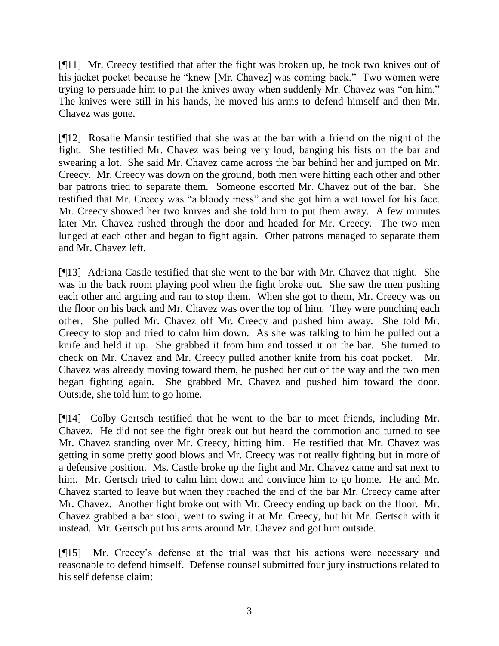[¶11] Mr. Creecy testified that after the fight was broken up, he took two knives out of his jacket pocket because he "knew [Mr. Chavez] was coming back." Two women were trying to persuade him to put the knives away when suddenly Mr. Chavez was "on him." The knives were still in his hands, he moved his arms to defend himself and then Mr. Chavez was gone.

[¶12] Rosalie Mansir testified that she was at the bar with a friend on the night of the fight. She testified Mr. Chavez was being very loud, banging his fists on the bar and swearing a lot. She said Mr. Chavez came across the bar behind her and jumped on Mr. Creecy. Mr. Creecy was down on the ground, both men were hitting each other and other bar patrons tried to separate them. Someone escorted Mr. Chavez out of the bar. She testified that Mr. Creecy was "a bloody mess" and she got him a wet towel for his face. Mr. Creecy showed her two knives and she told him to put them away. A few minutes later Mr. Chavez rushed through the door and headed for Mr. Creecy. The two men lunged at each other and began to fight again. Other patrons managed to separate them and Mr. Chavez left.

[¶13] Adriana Castle testified that she went to the bar with Mr. Chavez that night. She was in the back room playing pool when the fight broke out. She saw the men pushing each other and arguing and ran to stop them. When she got to them, Mr. Creecy was on the floor on his back and Mr. Chavez was over the top of him. They were punching each other. She pulled Mr. Chavez off Mr. Creecy and pushed him away. She told Mr. Creecy to stop and tried to calm him down. As she was talking to him he pulled out a knife and held it up. She grabbed it from him and tossed it on the bar. She turned to check on Mr. Chavez and Mr. Creecy pulled another knife from his coat pocket. Mr. Chavez was already moving toward them, he pushed her out of the way and the two men began fighting again. She grabbed Mr. Chavez and pushed him toward the door. Outside, she told him to go home.

[¶14] Colby Gertsch testified that he went to the bar to meet friends, including Mr. Chavez. He did not see the fight break out but heard the commotion and turned to see Mr. Chavez standing over Mr. Creecy, hitting him. He testified that Mr. Chavez was getting in some pretty good blows and Mr. Creecy was not really fighting but in more of a defensive position. Ms. Castle broke up the fight and Mr. Chavez came and sat next to him. Mr. Gertsch tried to calm him down and convince him to go home. He and Mr. Chavez started to leave but when they reached the end of the bar Mr. Creecy came after Mr. Chavez. Another fight broke out with Mr. Creecy ending up back on the floor. Mr. Chavez grabbed a bar stool, went to swing it at Mr. Creecy, but hit Mr. Gertsch with it instead. Mr. Gertsch put his arms around Mr. Chavez and got him outside.

[¶15] Mr. Creecy's defense at the trial was that his actions were necessary and reasonable to defend himself. Defense counsel submitted four jury instructions related to his self defense claim: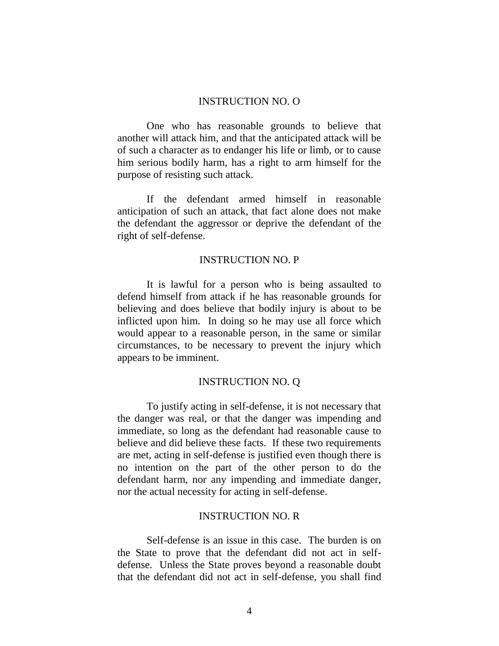#### INSTRUCTION NO. O

One who has reasonable grounds to believe that another will attack him, and that the anticipated attack will be of such a character as to endanger his life or limb, or to cause him serious bodily harm, has a right to arm himself for the purpose of resisting such attack.

If the defendant armed himself in reasonable anticipation of such an attack, that fact alone does not make the defendant the aggressor or deprive the defendant of the right of self-defense.

#### INSTRUCTION NO. P

It is lawful for a person who is being assaulted to defend himself from attack if he has reasonable grounds for believing and does believe that bodily injury is about to be inflicted upon him. In doing so he may use all force which would appear to a reasonable person, in the same or similar circumstances, to be necessary to prevent the injury which appears to be imminent.

#### INSTRUCTION NO. Q

To justify acting in self-defense, it is not necessary that the danger was real, or that the danger was impending and immediate, so long as the defendant had reasonable cause to believe and did believe these facts. If these two requirements are met, acting in self-defense is justified even though there is no intention on the part of the other person to do the defendant harm, nor any impending and immediate danger, nor the actual necessity for acting in self-defense.

#### INSTRUCTION NO. R

Self-defense is an issue in this case. The burden is on the State to prove that the defendant did not act in selfdefense. Unless the State proves beyond a reasonable doubt that the defendant did not act in self-defense, you shall find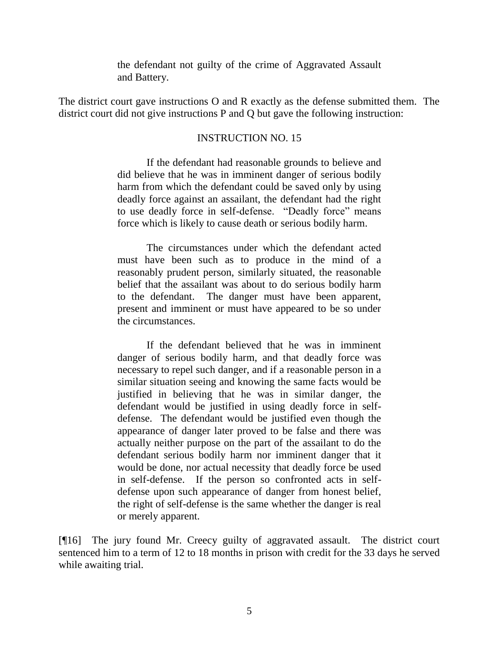the defendant not guilty of the crime of Aggravated Assault and Battery.

The district court gave instructions O and R exactly as the defense submitted them. The district court did not give instructions P and Q but gave the following instruction:

#### INSTRUCTION NO. 15

If the defendant had reasonable grounds to believe and did believe that he was in imminent danger of serious bodily harm from which the defendant could be saved only by using deadly force against an assailant, the defendant had the right to use deadly force in self-defense. "Deadly force" means force which is likely to cause death or serious bodily harm.

The circumstances under which the defendant acted must have been such as to produce in the mind of a reasonably prudent person, similarly situated, the reasonable belief that the assailant was about to do serious bodily harm to the defendant. The danger must have been apparent, present and imminent or must have appeared to be so under the circumstances.

If the defendant believed that he was in imminent danger of serious bodily harm, and that deadly force was necessary to repel such danger, and if a reasonable person in a similar situation seeing and knowing the same facts would be justified in believing that he was in similar danger, the defendant would be justified in using deadly force in selfdefense. The defendant would be justified even though the appearance of danger later proved to be false and there was actually neither purpose on the part of the assailant to do the defendant serious bodily harm nor imminent danger that it would be done, nor actual necessity that deadly force be used in self-defense. If the person so confronted acts in selfdefense upon such appearance of danger from honest belief, the right of self-defense is the same whether the danger is real or merely apparent.

[¶16] The jury found Mr. Creecy guilty of aggravated assault. The district court sentenced him to a term of 12 to 18 months in prison with credit for the 33 days he served while awaiting trial.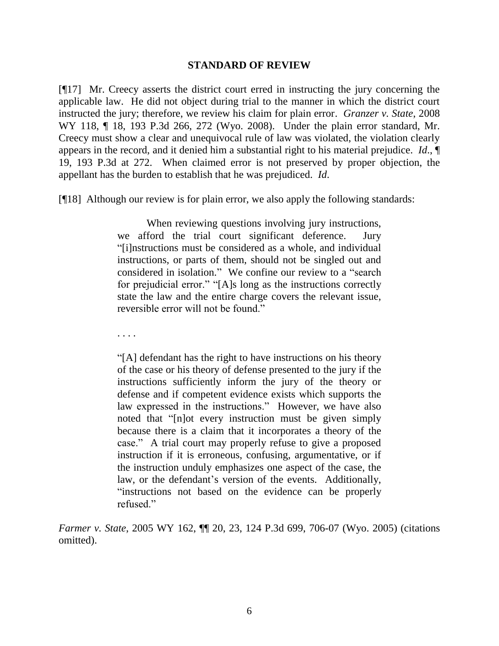#### **STANDARD OF REVIEW**

[¶17] Mr. Creecy asserts the district court erred in instructing the jury concerning the applicable law. He did not object during trial to the manner in which the district court instructed the jury; therefore, we review his claim for plain error. *Granzer v. State*, 2008 WY 118, ¶ 18, 193 P.3d 266, 272 (Wyo. 2008). Under the plain error standard, Mr. Creecy must show a clear and unequivocal rule of law was violated, the violation clearly appears in the record, and it denied him a substantial right to his material prejudice. *Id*., ¶ 19, 193 P.3d at 272. When claimed error is not preserved by proper objection, the appellant has the burden to establish that he was prejudiced. *Id*.

[¶18] Although our review is for plain error, we also apply the following standards:

When reviewing questions involving jury instructions, we afford the trial court significant deference. Jury "[i]nstructions must be considered as a whole, and individual instructions, or parts of them, should not be singled out and considered in isolation." We confine our review to a "search for prejudicial error." "[A]s long as the instructions correctly state the law and the entire charge covers the relevant issue, reversible error will not be found."

. . . .

"[A] defendant has the right to have instructions on his theory of the case or his theory of defense presented to the jury if the instructions sufficiently inform the jury of the theory or defense and if competent evidence exists which supports the law expressed in the instructions." However, we have also noted that "[n]ot every instruction must be given simply because there is a claim that it incorporates a theory of the case." A trial court may properly refuse to give a proposed instruction if it is erroneous, confusing, argumentative, or if the instruction unduly emphasizes one aspect of the case, the law, or the defendant's version of the events. Additionally, "instructions not based on the evidence can be properly refused."

*Farmer v. State*, 2005 WY 162, ¶¶ 20, 23, 124 P.3d 699, 706-07 (Wyo. 2005) (citations omitted).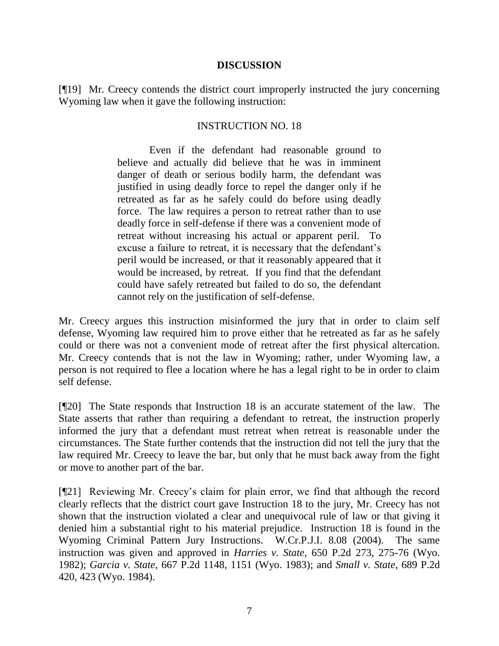#### **DISCUSSION**

[¶19] Mr. Creecy contends the district court improperly instructed the jury concerning Wyoming law when it gave the following instruction:

## INSTRUCTION NO. 18

Even if the defendant had reasonable ground to believe and actually did believe that he was in imminent danger of death or serious bodily harm, the defendant was justified in using deadly force to repel the danger only if he retreated as far as he safely could do before using deadly force. The law requires a person to retreat rather than to use deadly force in self-defense if there was a convenient mode of retreat without increasing his actual or apparent peril. To excuse a failure to retreat, it is necessary that the defendant's peril would be increased, or that it reasonably appeared that it would be increased, by retreat. If you find that the defendant could have safely retreated but failed to do so, the defendant cannot rely on the justification of self-defense.

Mr. Creecy argues this instruction misinformed the jury that in order to claim self defense, Wyoming law required him to prove either that he retreated as far as he safely could or there was not a convenient mode of retreat after the first physical altercation. Mr. Creecy contends that is not the law in Wyoming; rather, under Wyoming law, a person is not required to flee a location where he has a legal right to be in order to claim self defense.

[¶20] The State responds that Instruction 18 is an accurate statement of the law. The State asserts that rather than requiring a defendant to retreat, the instruction properly informed the jury that a defendant must retreat when retreat is reasonable under the circumstances. The State further contends that the instruction did not tell the jury that the law required Mr. Creecy to leave the bar, but only that he must back away from the fight or move to another part of the bar.

[¶21] Reviewing Mr. Creecy's claim for plain error, we find that although the record clearly reflects that the district court gave Instruction 18 to the jury, Mr. Creecy has not shown that the instruction violated a clear and unequivocal rule of law or that giving it denied him a substantial right to his material prejudice. Instruction 18 is found in the Wyoming Criminal Pattern Jury Instructions. W.Cr.P.J.I. 8.08 (2004). The same instruction was given and approved in *Harries v. State*, 650 P.2d 273, 275-76 (Wyo. 1982); *Garcia v. State*, 667 P.2d 1148, 1151 (Wyo. 1983); and *Small v. State*, 689 P.2d 420, 423 (Wyo. 1984).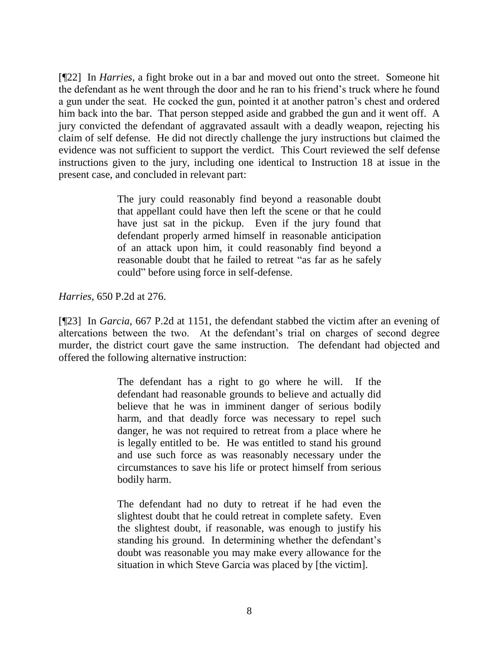[¶22] In *Harries*, a fight broke out in a bar and moved out onto the street. Someone hit the defendant as he went through the door and he ran to his friend's truck where he found a gun under the seat. He cocked the gun, pointed it at another patron's chest and ordered him back into the bar. That person stepped aside and grabbed the gun and it went off. A jury convicted the defendant of aggravated assault with a deadly weapon, rejecting his claim of self defense. He did not directly challenge the jury instructions but claimed the evidence was not sufficient to support the verdict. This Court reviewed the self defense instructions given to the jury, including one identical to Instruction 18 at issue in the present case, and concluded in relevant part:

> The jury could reasonably find beyond a reasonable doubt that appellant could have then left the scene or that he could have just sat in the pickup. Even if the jury found that defendant properly armed himself in reasonable anticipation of an attack upon him, it could reasonably find beyond a reasonable doubt that he failed to retreat "as far as he safely could" before using force in self-defense.

*Harries*, 650 P.2d at 276.

[¶23] In *Garcia*, 667 P.2d at 1151, the defendant stabbed the victim after an evening of altercations between the two. At the defendant's trial on charges of second degree murder, the district court gave the same instruction. The defendant had objected and offered the following alternative instruction:

> The defendant has a right to go where he will. If the defendant had reasonable grounds to believe and actually did believe that he was in imminent danger of serious bodily harm, and that deadly force was necessary to repel such danger, he was not required to retreat from a place where he is legally entitled to be. He was entitled to stand his ground and use such force as was reasonably necessary under the circumstances to save his life or protect himself from serious bodily harm.

> The defendant had no duty to retreat if he had even the slightest doubt that he could retreat in complete safety. Even the slightest doubt, if reasonable, was enough to justify his standing his ground. In determining whether the defendant's doubt was reasonable you may make every allowance for the situation in which Steve Garcia was placed by [the victim].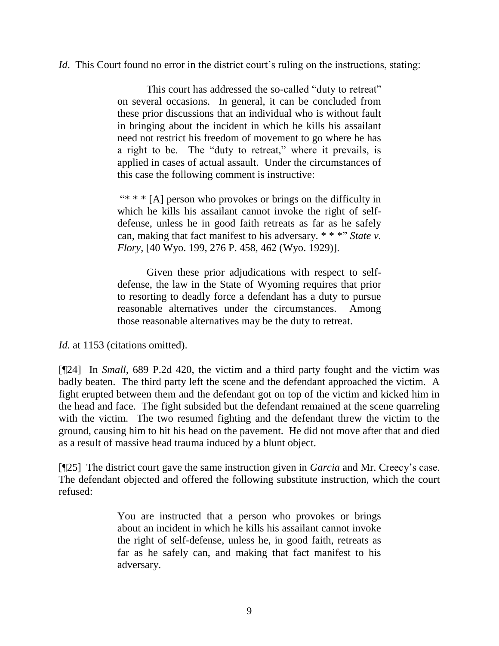*Id.* This Court found no error in the district court's ruling on the instructions, stating:

This court has addressed the so-called "duty to retreat" on several occasions. In general, it can be concluded from these prior discussions that an individual who is without fault in bringing about the incident in which he kills his assailant need not restrict his freedom of movement to go where he has a right to be. The "duty to retreat," where it prevails, is applied in cases of actual assault. Under the circumstances of this case the following comment is instructive:

"\* \*  $[A]$  person who provokes or brings on the difficulty in which he kills his assailant cannot invoke the right of selfdefense, unless he in good faith retreats as far as he safely can, making that fact manifest to his adversary. \* \* \*" *State v. Flory*, [40 Wyo. 199, 276 P. 458, 462 (Wyo. 1929)].

Given these prior adjudications with respect to selfdefense, the law in the State of Wyoming requires that prior to resorting to deadly force a defendant has a duty to pursue reasonable alternatives under the circumstances. Among those reasonable alternatives may be the duty to retreat.

Id. at 1153 (citations omitted).

[¶24] In *Small,* 689 P.2d 420, the victim and a third party fought and the victim was badly beaten. The third party left the scene and the defendant approached the victim. A fight erupted between them and the defendant got on top of the victim and kicked him in the head and face. The fight subsided but the defendant remained at the scene quarreling with the victim. The two resumed fighting and the defendant threw the victim to the ground, causing him to hit his head on the pavement. He did not move after that and died as a result of massive head trauma induced by a blunt object.

[¶25] The district court gave the same instruction given in *Garcia* and Mr. Creecy's case. The defendant objected and offered the following substitute instruction, which the court refused:

> You are instructed that a person who provokes or brings about an incident in which he kills his assailant cannot invoke the right of self-defense, unless he, in good faith, retreats as far as he safely can, and making that fact manifest to his adversary.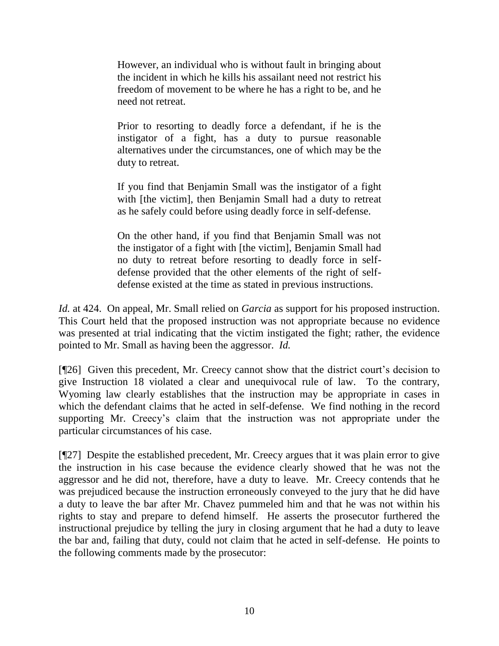However, an individual who is without fault in bringing about the incident in which he kills his assailant need not restrict his freedom of movement to be where he has a right to be, and he need not retreat.

Prior to resorting to deadly force a defendant, if he is the instigator of a fight, has a duty to pursue reasonable alternatives under the circumstances, one of which may be the duty to retreat.

If you find that Benjamin Small was the instigator of a fight with [the victim], then Benjamin Small had a duty to retreat as he safely could before using deadly force in self-defense.

On the other hand, if you find that Benjamin Small was not the instigator of a fight with [the victim], Benjamin Small had no duty to retreat before resorting to deadly force in selfdefense provided that the other elements of the right of selfdefense existed at the time as stated in previous instructions.

*Id.* at 424. On appeal, Mr. Small relied on *Garcia* as support for his proposed instruction. This Court held that the proposed instruction was not appropriate because no evidence was presented at trial indicating that the victim instigated the fight; rather, the evidence pointed to Mr. Small as having been the aggressor. *Id.*

[¶26] Given this precedent, Mr. Creecy cannot show that the district court's decision to give Instruction 18 violated a clear and unequivocal rule of law. To the contrary, Wyoming law clearly establishes that the instruction may be appropriate in cases in which the defendant claims that he acted in self-defense. We find nothing in the record supporting Mr. Creecy's claim that the instruction was not appropriate under the particular circumstances of his case.

[¶27] Despite the established precedent, Mr. Creecy argues that it was plain error to give the instruction in his case because the evidence clearly showed that he was not the aggressor and he did not, therefore, have a duty to leave. Mr. Creecy contends that he was prejudiced because the instruction erroneously conveyed to the jury that he did have a duty to leave the bar after Mr. Chavez pummeled him and that he was not within his rights to stay and prepare to defend himself. He asserts the prosecutor furthered the instructional prejudice by telling the jury in closing argument that he had a duty to leave the bar and, failing that duty, could not claim that he acted in self-defense. He points to the following comments made by the prosecutor: